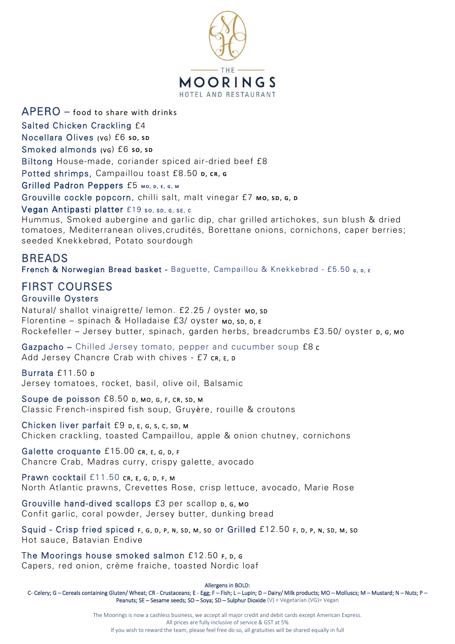

 $APERO -$  food to share with drinks Salted Chicken Crackling £4 Nocellara Olives (v<sub>G</sub>) £6 so, sp Smoked almonds (v<sub>G</sub>) £6 so, sp Biltong House-made, coriander spiced air-dried beef £8 Potted shrimps, Campaillou toast £8.50 p, cR, G Grilled Padron Peppers £5 MO, D, E, G, M Grouville cockle popcorn, chilli salt, malt vinegar £7 **Mo, sp, G, D** 

#### Vegan Antipasti platter £19 so, sp, G, SE, c

Hummus, Smoked aubergine and garlic dip, char grilled artichokes, sun blush & dried tomatoes, Mediterranean olives,crudités, Borettane onions, cornichons, caper berries; seeded Knekkebrød, Potato sourdough

# BREADS

French & Norwegian Bread basket - Baguette, Campaillou & Knekkebrød - £5.50 s, p, E

# FIRST COURSES Grouville Oysters

Natural/ shallot vinaigrette/ lemon. £2.25 / oyster Mo, sp Florentine – spinach & Holladaise  $f(3)$  oyster Mo, sp, p,  $f$ Rockefeller – Jersey butter, spinach, garden herbs, breadcrumbs £3.50/ oyster p, G, Mo

Gazpacho – Chilled Jersey tomato, pepper and cucumber soup £8 C Add Jersey Chancre Crab with chives - £7 cr, E, D

Burrata £11.50 p

Jersey tomatoes, rocket, basil, olive oil, Balsamic

Soupe de poisson £8.50 p, Mo, G, F, CR, SD, M Classic French-inspired fish soup, Gruyère, rouille & croutons

Chicken liver parfait £9 p, E, G, S, C, SD, M Chicken crackling, toasted Campaillou, apple & onion chutney, cornichons

Galette croquante £15.00 cr, E, G, D, F Chancre Crab, Madras curry, crispy galette, avocado

Prawn cocktail £11.50 CR, E, G, D, F, M North Atlantic prawns, Crevettes Rose, crisp lettuce, avocado, Marie Rose

Grouville hand-dived scallops £3 per scallop  $p, g, mo$ Confit garlic, coral powder, Jersey butter, dunking bread

Squid - Crisp fried spiced F, G, D, P, N, SD, M, SO Or Grilled £12.50 F, D, P, N, SD, M, SO Hot sauce, Batavian Endive

The Moorings house smoked salmon  $£12.50$   $F, D, G$ Capers, red onion, crème fraiche, toasted Nordic loaf

Allergens in BOLD:

C- Celery; G – Cereals containing Gluten/ Wheat; CR - Crustaceans; E - Egg; F – Fish; L – Lupin; D – Dairy/ Milk products; MO – Molluscs; M – Mustard; N – Nuts; P – Peanuts; SE - Sesame seeds; SO - Soya; SD - Sulphur Dioxide (V) = Vegetarian (VG)= Vegan

> The Moorings is now a cashless business, we accept all major credit and debit cards except American Express. All prices are fully inclusive of service & GST at 5% If you wish to reward the team, please feel free do so, all gratuities will be shared equally in full